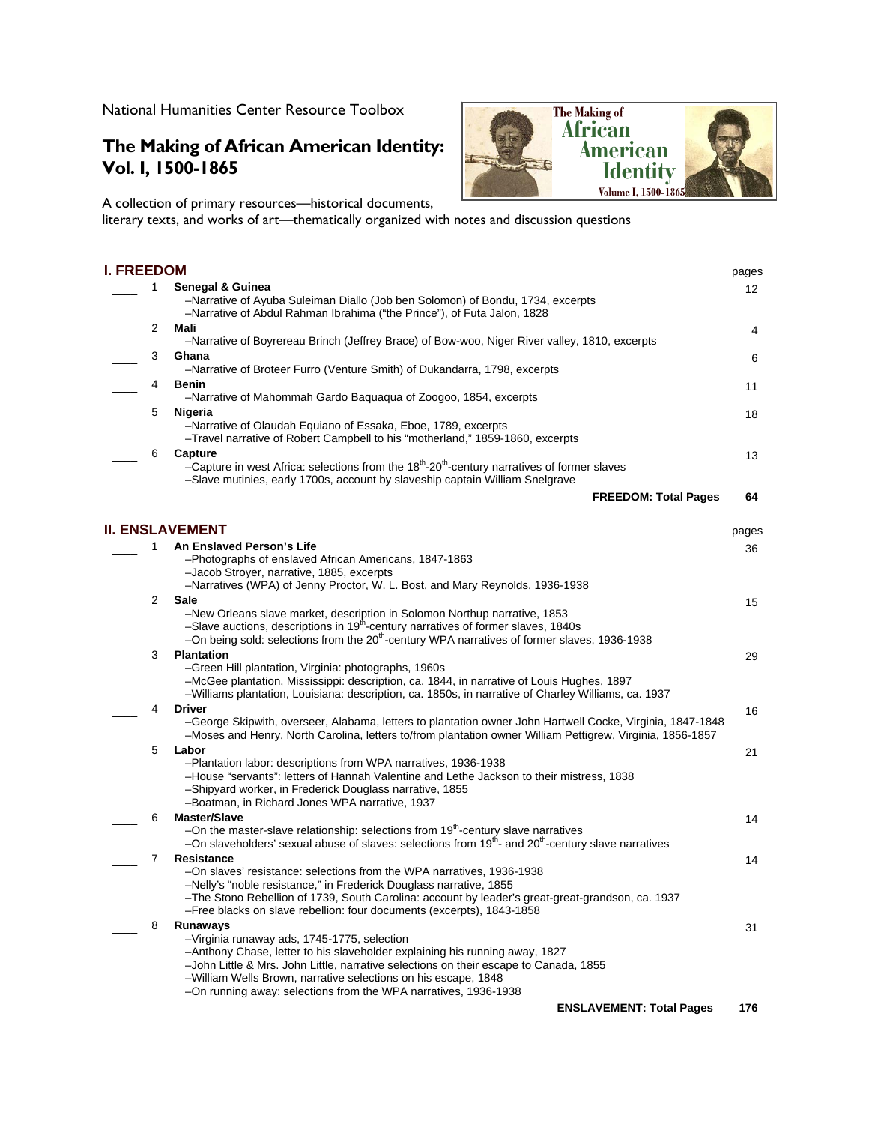National Humanities Center Resource Toolbox

## **The Making of African American Identity: Vol. I, 1500-1865**

A collection of primary resources—historical documents,

literary texts, and works of art—thematically organized with notes and discussion questions

The Making of **African** 

> American ldentitv Volume I, 1500-1865

## **I. FREEDOM** pages \_\_\_\_ 1 **Senegal & Guinea**  –Narrative of Ayuba Suleiman Diallo (Job ben Solomon) of Bondu, 1734, excerpts –Narrative of Abdul Rahman Ibrahima ("the Prince"), of Futa Jalon, 1828 12 \_\_\_\_ 2 **Mali**  –Narrative of Boyrereau Brinch (Jeffrey Brace) of Bow-woo, Niger River valley, 1810, excerpts 4 \_\_\_\_ 3 **Ghana**  –Narrative of Broteer Furro (Venture Smith) of Dukandarra, 1798, excerpts 6 \_\_\_\_ 4 **Benin**  –Narrative of Mahommah Gardo Baquaqua of Zoogoo, 1854, excerpts 11 \_\_\_\_ 5 **Nigeria**  –Narrative of Olaudah Equiano of Essaka, Eboe, 1789, excerpts –Travel narrative of Robert Campbell to his "motherland," 1859-1860, excerpts 18 \_\_\_\_ 6 **Capture**  –Capture in west Africa: selections from the  $18<sup>th</sup>$ -20<sup>th</sup>-century narratives of former slaves –Slave mutinies, early 1700s, account by slaveship captain William Snelgrave 13 **FREEDOM: Total Pages 64 II. ENSLAVEMENT** pages \_\_\_\_ 1 **An Enslaved Person's Life**  –Photographs of enslaved African Americans, 1847-1863 –Jacob Stroyer, narrative, 1885, excerpts –Narratives (WPA) of Jenny Proctor, W. L. Bost, and Mary Reynolds, 1936-1938 36 \_\_\_\_ 2 **Sale**  –New Orleans slave market, description in Solomon Northup narrative, 1853 –Slave auctions, descriptions in 19<sup>th</sup>-century narratives of former slaves, 1840s -On being sold: selections from the 20<sup>th</sup>-century WPA narratives of former slaves, 1936-1938 15 \_\_\_\_ 3 **Plantation**  –Green Hill plantation, Virginia: photographs, 1960s –McGee plantation, Mississippi: description, ca. 1844, in narrative of Louis Hughes, 1897 –Williams plantation, Louisiana: description, ca. 1850s, in narrative of Charley Williams, ca. 1937 29 \_\_\_\_ 4 **Driver**  –George Skipwith, overseer, Alabama, letters to plantation owner John Hartwell Cocke, Virginia, 1847-1848 –Moses and Henry, North Carolina, letters to/from plantation owner William Pettigrew, Virginia, 1856-1857 16 \_\_\_\_ 5 **Labor**  –Plantation labor: descriptions from WPA narratives, 1936-1938 –House "servants": letters of Hannah Valentine and Lethe Jackson to their mistress, 1838 –Shipyard worker, in Frederick Douglass narrative, 1855 –Boatman, in Richard Jones WPA narrative, 1937 21 \_\_\_\_ 6 **Master/Slave**   $-$ On the master-slave relationship: selections from 19<sup>th</sup>-century slave narratives –On slaveholders' sexual abuse of slaves: selections from 19<sup>th</sup>- and 20<sup>th</sup>-century slave narratives 14 \_\_\_\_ 7 **Resistance**  –On slaves' resistance: selections from the WPA narratives, 1936-1938 –Nelly's "noble resistance," in Frederick Douglass narrative, 1855 –The Stono Rebellion of 1739, South Carolina: account by leader's great-great-grandson, ca. 1937 –Free blacks on slave rebellion: four documents (excerpts), 1843-1858 14 \_\_\_\_ 8 **Runaways**  –Virginia runaway ads, 1745-1775, selection –Anthony Chase, letter to his slaveholder explaining his running away, 1827 –John Little & Mrs. John Little, narrative selections on their escape to Canada, 1855 –William Wells Brown, narrative selections on his escape, 1848 –On running away: selections from the WPA narratives, 1936-1938 31 **ENSLAVEMENT: Total Pages 176**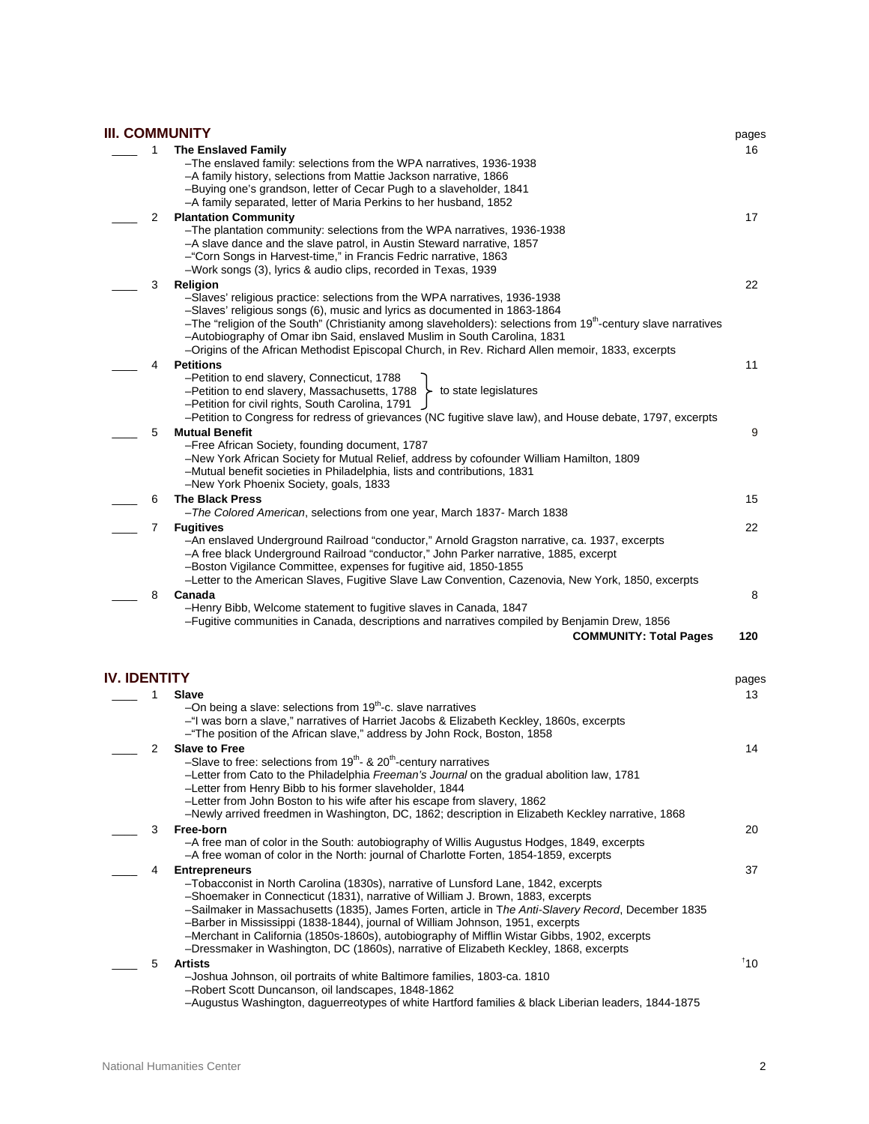## **III. COMMUNITY** pages \_\_\_\_ 1 **The Enslaved Family**  –The enslaved family: selections from the WPA narratives, 1936-1938 –A family history, selections from Mattie Jackson narrative, 1866 –Buying one's grandson, letter of Cecar Pugh to a slaveholder, 1841 –A family separated, letter of Maria Perkins to her husband, 1852 \_\_\_\_ 2 **Plantation Community**  –The plantation community: selections from the WPA narratives, 1936-1938 –A slave dance and the slave patrol, in Austin Steward narrative, 1857 –"Corn Songs in Harvest-time," in Francis Fedric narrative, 1863 –Work songs (3), lyrics & audio clips, recorded in Texas, 1939 \_\_\_\_ 3 **Religion**  –Slaves' religious practice: selections from the WPA narratives, 1936-1938 –Slaves' religious songs (6), music and lyrics as documented in 1863-1864 –The "religion of the South" (Christianity among slaveholders): selections from 19<sup>th</sup>-century slave narratives –Autobiography of Omar ibn Said, enslaved Muslim in South Carolina, 1831 –Origins of the African Methodist Episcopal Church, in Rev. Richard Allen memoir, 1833, excerpts \_\_\_\_ 4 **Petitions**  –Petition to end slavery, Connecticut, 1788 –Petition to end slavery, Massachusetts, 1788 –Petition for civil rights, South Carolina, 1791 –Petition to Congress for redress of grievances (NC fugitive slave law), and House debate, 1797, excerpts \_\_\_\_ 5 **Mutual Benefit**  –Free African Society, founding document, 1787 –New York African Society for Mutual Relief, address by cofounder William Hamilton, 1809 –Mutual benefit societies in Philadelphia, lists and contributions, 1831 –New York Phoenix Society, goals, 1833 \_\_\_\_ 6 **The Black Press**  –*The Colored American*, selections from one year, March 1837- March 1838 \_\_\_\_ 7 **Fugitives**  –An enslaved Underground Railroad "conductor," Arnold Gragston narrative, ca. 1937, excerpts –A free black Underground Railroad "conductor," John Parker narrative, 1885, excerpt –Boston Vigilance Committee, expenses for fugitive aid, 1850-1855 –Letter to the American Slaves, Fugitive Slave Law Convention, Cazenovia, New York, 1850, excerpts \_\_\_\_ 8 **Canada**  –Henry Bibb, Welcome statement to fugitive slaves in Canada, 1847 –Fugitive communities in Canada, descriptions and narratives compiled by Benjamin Drew, 1856 **COMMUNITY: Total Pages 120**  to state legislatures **IV. IDENTITY** pages \_\_\_\_ 1 **Slave**  –On being a slave: selections from 19<sup>th</sup>-c. slave narratives –"I was born a slave," narratives of Harriet Jacobs & Elizabeth Keckley, 1860s, excerpts –"The position of the African slave," address by John Rock, Boston, 1858 \_\_\_\_ 2 **Slave to Free**  –Slave to free: selections from  $19^{th}$ - &  $20^{th}$ -century narratives

- –Letter from Cato to the Philadelphia *Freeman's Journal* on the gradual abolition law, 1781 –Letter from Henry Bibb to his former slaveholder, 1844 –Letter from John Boston to his wife after his escape from slavery, 1862 –Newly arrived freedmen in Washington, DC, 1862; description in Elizabeth Keckley narrative, 1868 \_\_\_\_ 3 **Free-born**  –A free man of color in the South: autobiography of Willis Augustus Hodges, 1849, excerpts –A free woman of color in the North: journal of Charlotte Forten, 1854-1859, excerpts \_\_\_\_ 4 **Entrepreneurs**  –Tobacconist in North Carolina (1830s), narrative of Lunsford Lane, 1842, excerpts –Shoemaker in Connecticut (1831), narrative of William J. Brown, 1883, excerpts –Sailmaker in Massachusetts (1835), James Forten, article in T*he Anti-Slavery Record*, December 1835 –Barber in Mississippi (1838-1844), journal of William Johnson, 1951, excerpts –Merchant in California (1850s-1860s), autobiography of Mifflin Wistar Gibbs, 1902, excerpts –Dressmaker in Washington, DC (1860s), narrative of Elizabeth Keckley, 1868, excerpts \_\_\_\_ 5 **Artists** 
	- –Joshua Johnson, oil portraits of white Baltimore families, 1803-ca. 1810 –Robert Scott Duncanson, oil landscapes, 1848-1862
	- –Augustus Washington, daguerreotypes of white Hartford families & black Liberian leaders, 1844-1875

16

17

22

11

9

15

22

8

13

14

20

37

† 10